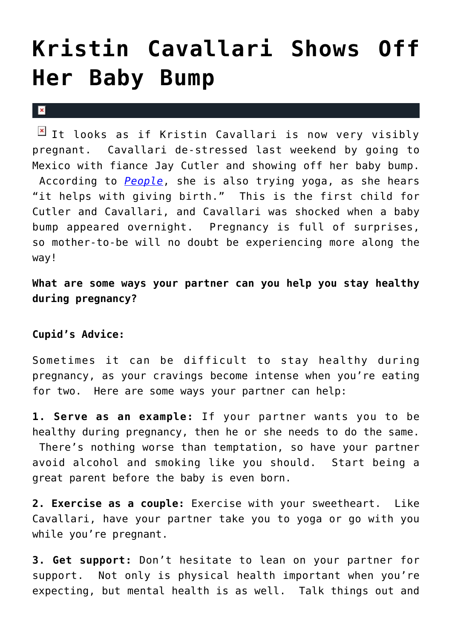## **[Kristin Cavallari Shows Off](https://cupidspulse.com/28948/kristin-cavallari-shows-off-baby-bump-jay-cutler/) [Her Baby Bump](https://cupidspulse.com/28948/kristin-cavallari-shows-off-baby-bump-jay-cutler/)**

## $\vert \mathbf{x} \vert$

 $\boxed{\times}$  It looks as if Kristin Cavallari is now very visibly pregnant. Cavallari de-stressed last weekend by going to Mexico with fiance Jay Cutler and showing off her baby bump. According to *[People](http://www.usmagazine.com/celebrity-moms/news/pregnant-kristin-cavallari-goes-makeup-free-shows-off-baby-bump-in-workout-clothes-2012173)*, she is also trying yoga, as she hears "it helps with giving birth." This is the first child for Cutler and Cavallari, and Cavallari was shocked when a baby bump appeared overnight. Pregnancy is full of surprises, so mother-to-be will no doubt be experiencing more along the way!

**What are some ways your partner can you help you stay healthy during pregnancy?**

## **Cupid's Advice:**

Sometimes it can be difficult to stay healthy during pregnancy, as your cravings become intense when you're eating for two. Here are some ways your partner can help:

**1. Serve as an example:** If your partner wants you to be healthy during pregnancy, then he or she needs to do the same. There's nothing worse than temptation, so have your partner avoid alcohol and smoking like you should. Start being a great parent before the baby is even born.

**2. Exercise as a couple:** Exercise with your sweetheart. Like Cavallari, have your partner take you to yoga or go with you while you're pregnant.

**3. Get support:** Don't hesitate to lean on your partner for support. Not only is physical health important when you're expecting, but mental health is as well. Talk things out and